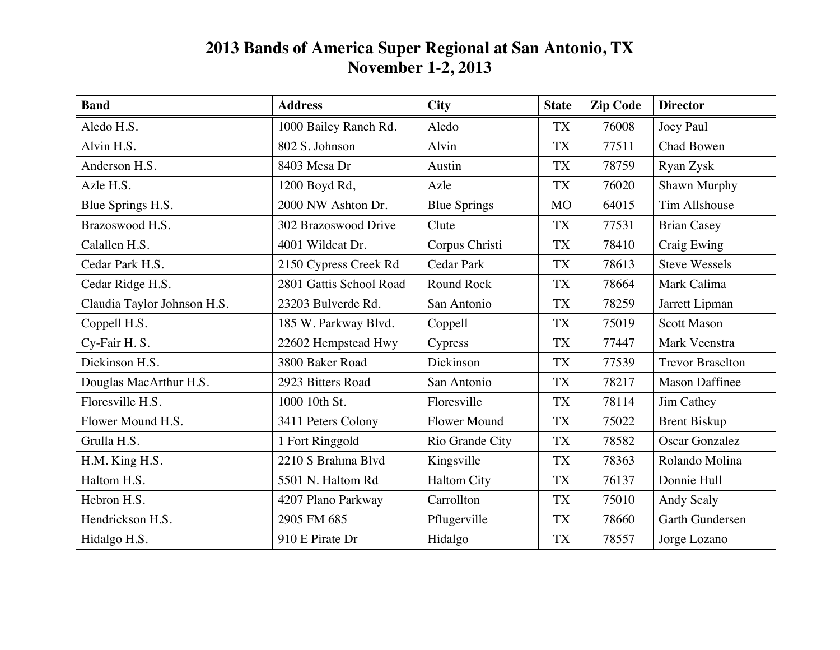## **2013 Bands of America Super Regional at San Antonio, TX November 1-2, 2013**

| <b>Band</b>                 | <b>Address</b>          | <b>City</b>         | <b>State</b> | <b>Zip Code</b> | <b>Director</b>         |
|-----------------------------|-------------------------|---------------------|--------------|-----------------|-------------------------|
| Aledo H.S.                  | 1000 Bailey Ranch Rd.   | Aledo               | <b>TX</b>    | 76008           | Joey Paul               |
| Alvin H.S.                  | 802 S. Johnson          | Alvin               | <b>TX</b>    | 77511           | Chad Bowen              |
| Anderson H.S.               | 8403 Mesa Dr            | Austin              | <b>TX</b>    | 78759           | Ryan Zysk               |
| Azle H.S.                   | 1200 Boyd Rd,           | Azle                | <b>TX</b>    | 76020           | Shawn Murphy            |
| Blue Springs H.S.           | 2000 NW Ashton Dr.      | <b>Blue Springs</b> | <b>MO</b>    | 64015           | <b>Tim Allshouse</b>    |
| Brazoswood H.S.             | 302 Brazoswood Drive    | Clute               | <b>TX</b>    | 77531           | <b>Brian Casey</b>      |
| Calallen H.S.               | 4001 Wildcat Dr.        | Corpus Christi      | <b>TX</b>    | 78410           | Craig Ewing             |
| Cedar Park H.S.             | 2150 Cypress Creek Rd   | <b>Cedar Park</b>   | <b>TX</b>    | 78613           | <b>Steve Wessels</b>    |
| Cedar Ridge H.S.            | 2801 Gattis School Road | <b>Round Rock</b>   | <b>TX</b>    | 78664           | Mark Calima             |
| Claudia Taylor Johnson H.S. | 23203 Bulverde Rd.      | San Antonio         | <b>TX</b>    | 78259           | Jarrett Lipman          |
| Coppell H.S.                | 185 W. Parkway Blvd.    | Coppell             | <b>TX</b>    | 75019           | <b>Scott Mason</b>      |
| Cy-Fair H.S.                | 22602 Hempstead Hwy     | Cypress             | <b>TX</b>    | 77447           | Mark Veenstra           |
| Dickinson H.S.              | 3800 Baker Road         | Dickinson           | <b>TX</b>    | 77539           | <b>Trevor Braselton</b> |
| Douglas MacArthur H.S.      | 2923 Bitters Road       | San Antonio         | <b>TX</b>    | 78217           | <b>Mason Daffinee</b>   |
| Floresville H.S.            | 1000 10th St.           | Floresville         | <b>TX</b>    | 78114           | Jim Cathey              |
| Flower Mound H.S.           | 3411 Peters Colony      | <b>Flower Mound</b> | <b>TX</b>    | 75022           | <b>Brent Biskup</b>     |
| Grulla H.S.                 | 1 Fort Ringgold         | Rio Grande City     | <b>TX</b>    | 78582           | <b>Oscar Gonzalez</b>   |
| H.M. King H.S.              | 2210 S Brahma Blvd      | Kingsville          | <b>TX</b>    | 78363           | Rolando Molina          |
| Haltom H.S.                 | 5501 N. Haltom Rd       | <b>Haltom City</b>  | <b>TX</b>    | 76137           | Donnie Hull             |
| Hebron H.S.                 | 4207 Plano Parkway      | Carrollton          | <b>TX</b>    | 75010           | Andy Sealy              |
| Hendrickson H.S.            | 2905 FM 685             | Pflugerville        | <b>TX</b>    | 78660           | Garth Gundersen         |
| Hidalgo H.S.                | 910 E Pirate Dr         | Hidalgo             | <b>TX</b>    | 78557           | Jorge Lozano            |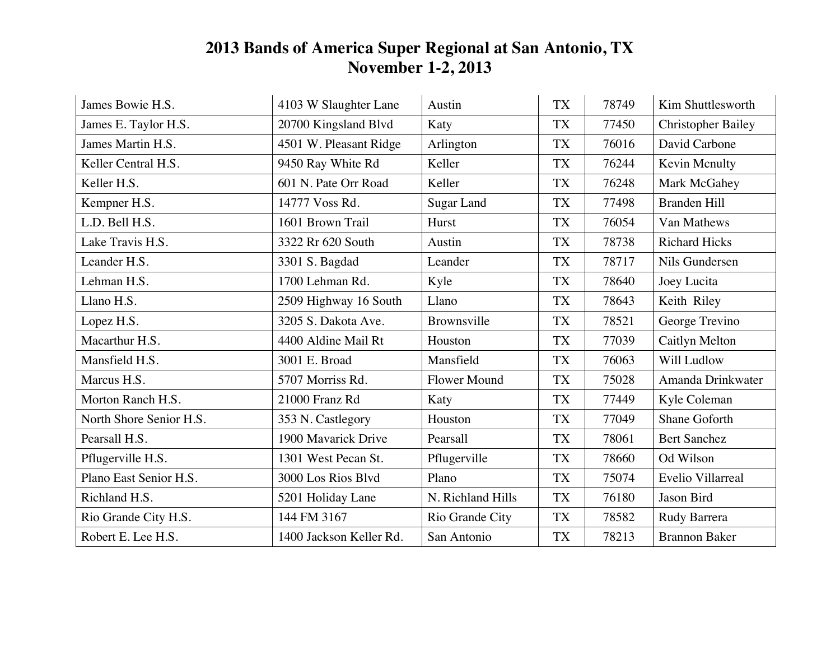## **2013 Bands of America Super Regional at San Antonio, TX November 1-2, 2013**

| James Bowie H.S.        | 4103 W Slaughter Lane   | Austin              | <b>TX</b> | 78749 | Kim Shuttlesworth         |
|-------------------------|-------------------------|---------------------|-----------|-------|---------------------------|
| James E. Taylor H.S.    | 20700 Kingsland Blvd    | Katy                | <b>TX</b> | 77450 | <b>Christopher Bailey</b> |
| James Martin H.S.       | 4501 W. Pleasant Ridge  | Arlington           | <b>TX</b> | 76016 | David Carbone             |
| Keller Central H.S.     | 9450 Ray White Rd       | Keller              | <b>TX</b> | 76244 | Kevin Menulty             |
| Keller H.S.             | 601 N. Pate Orr Road    | Keller              | <b>TX</b> | 76248 | Mark McGahey              |
| Kempner H.S.            | 14777 Voss Rd.          | Sugar Land          | <b>TX</b> | 77498 | <b>Branden Hill</b>       |
| L.D. Bell H.S.          | 1601 Brown Trail        | Hurst               | <b>TX</b> | 76054 | Van Mathews               |
| Lake Travis H.S.        | 3322 Rr 620 South       | Austin              | <b>TX</b> | 78738 | <b>Richard Hicks</b>      |
| Leander H.S.            | 3301 S. Bagdad          | Leander             | <b>TX</b> | 78717 | Nils Gundersen            |
| Lehman H.S.             | 1700 Lehman Rd.         | Kyle                | <b>TX</b> | 78640 | Joey Lucita               |
| Llano H.S.              | 2509 Highway 16 South   | Llano               | <b>TX</b> | 78643 | Keith Riley               |
| Lopez H.S.              | 3205 S. Dakota Ave.     | Brownsville         | <b>TX</b> | 78521 | George Trevino            |
| Macarthur H.S.          | 4400 Aldine Mail Rt     | Houston             | <b>TX</b> | 77039 | Caitlyn Melton            |
| Mansfield H.S.          | 3001 E. Broad           | Mansfield           | <b>TX</b> | 76063 | Will Ludlow               |
| Marcus H.S.             | 5707 Morriss Rd.        | <b>Flower Mound</b> | <b>TX</b> | 75028 | Amanda Drinkwater         |
| Morton Ranch H.S.       | 21000 Franz Rd          | Katy                | <b>TX</b> | 77449 | Kyle Coleman              |
| North Shore Senior H.S. | 353 N. Castlegory       | Houston             | <b>TX</b> | 77049 | Shane Goforth             |
| Pearsall H.S.           | 1900 Mavarick Drive     | Pearsall            | <b>TX</b> | 78061 | <b>Bert Sanchez</b>       |
| Pflugerville H.S.       | 1301 West Pecan St.     | Pflugerville        | <b>TX</b> | 78660 | Od Wilson                 |
| Plano East Senior H.S.  | 3000 Los Rios Blvd      | Plano               | <b>TX</b> | 75074 | Evelio Villarreal         |
| Richland H.S.           | 5201 Holiday Lane       | N. Richland Hills   | <b>TX</b> | 76180 | Jason Bird                |
| Rio Grande City H.S.    | 144 FM 3167             | Rio Grande City     | TX        | 78582 | Rudy Barrera              |
| Robert E. Lee H.S.      | 1400 Jackson Keller Rd. | San Antonio         | <b>TX</b> | 78213 | <b>Brannon Baker</b>      |